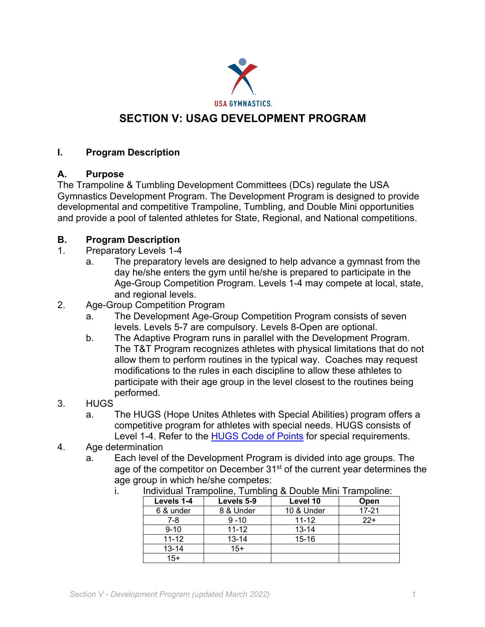

# **SECTION V: USAG DEVELOPMENT PROGRAM**

### **I. Program Description**

### **A. Purpose**

The Trampoline & Tumbling Development Committees (DCs) regulate the USA Gymnastics Development Program. The Development Program is designed to provide developmental and competitive Trampoline, Tumbling, and Double Mini opportunities and provide a pool of talented athletes for State, Regional, and National competitions.

### **B. Program Description**

- 1. Preparatory Levels 1-4
	- a. The preparatory levels are designed to help advance a gymnast from the day he/she enters the gym until he/she is prepared to participate in the Age-Group Competition Program. Levels 1-4 may compete at local, state, and regional levels.
- 2. Age-Group Competition Program
	- a. The Development Age-Group Competition Program consists of seven levels. Levels 5-7 are compulsory. Levels 8-Open are optional.
	- b. The Adaptive Program runs in parallel with the Development Program. The T&T Program recognizes athletes with physical limitations that do not allow them to perform routines in the typical way. Coaches may request modifications to the rules in each discipline to allow these athletes to participate with their age group in the level closest to the routines being performed.
- 3. HUGS
	- a. The HUGS (Hope Unites Athletes with Special Abilities) program offers a competitive program for athletes with special needs. HUGS consists of Level 1-4. Refer to the HUGS Code of Points for special requirements.
- 4. Age determination
	- a. Each level of the Development Program is divided into age groups. The age of the competitor on December  $31<sup>st</sup>$  of the current year determines the age group in which he/she competes:

| mundual Tramponne, Tumbing & Double Mini Tramponne. |            |            |           |
|-----------------------------------------------------|------------|------------|-----------|
| Levels 1-4                                          | Levels 5-9 | Level 10   | Open      |
| 6 & under                                           | 8 & Under  | 10 & Under | $17 - 21$ |
| 7-8                                                 | $9 - 10$   | $11 - 12$  | $22+$     |
| $9 - 10$                                            | $11 - 12$  | $13 - 14$  |           |
| $11 - 12$                                           | $13 - 14$  | $15 - 16$  |           |
| $13 - 14$                                           | $15+$      |            |           |
| $15+$                                               |            |            |           |

i. Individual Trampoline, Tumbling & Double Mini Trampoline: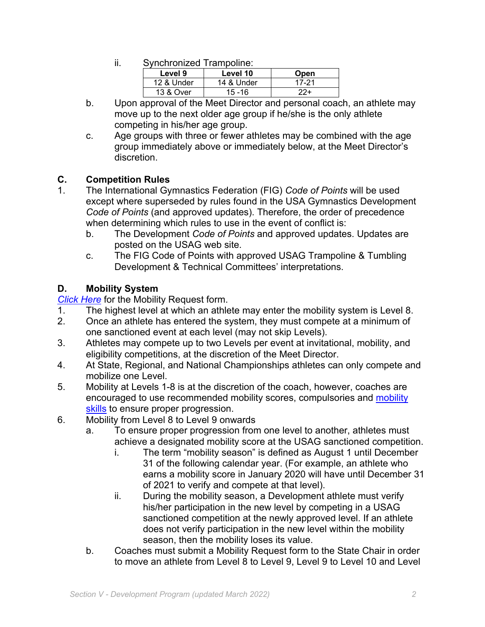ii. Synchronized Trampoline:

| Level 9    | Level 10   | Open  |
|------------|------------|-------|
| 12 & Under | 14 & Under | 17-21 |
| 13 & Over  | $15 - 16$  | りワー   |

- b. Upon approval of the Meet Director and personal coach, an athlete may move up to the next older age group if he/she is the only athlete competing in his/her age group.
- c. Age groups with three or fewer athletes may be combined with the age group immediately above or immediately below, at the Meet Director's discretion.

# **C. Competition Rules**

- 1. The International Gymnastics Federation (FIG) *Code of Points* will be used except where superseded by rules found in the USA Gymnastics Development *Code of Points* (and approved updates). Therefore, the order of precedence when determining which rules to use in the event of conflict is:
	- b. The Development *Code of Points* and approved updates. Updates are posted on the USAG web site.
	- c. The FIG Code of Points with approved USAG Trampoline & Tumbling Development & Technical Committees' interpretations.

# **D. Mobility System**

*Click Here* for the Mobility Request form.

- 1. The highest level at which an athlete may enter the mobility system is Level 8.
- 2. Once an athlete has entered the system, they must compete at a minimum of one sanctioned event at each level (may not skip Levels).
- 3. Athletes may compete up to two Levels per event at invitational, mobility, and eligibility competitions, at the discretion of the Meet Director.
- 4. At State, Regional, and National Championships athletes can only compete and mobilize one Level.
- 5. Mobility at Levels 1-8 is at the discretion of the coach, however, coaches are encouraged to use recommended mobility scores, compulsories and mobility skills to ensure proper progression.
- 6. Mobility from Level 8 to Level 9 onwards
	- a. To ensure proper progression from one level to another, athletes must achieve a designated mobility score at the USAG sanctioned competition.
		- i. The term "mobility season" is defined as August 1 until December 31 of the following calendar year. (For example, an athlete who earns a mobility score in January 2020 will have until December 31 of 2021 to verify and compete at that level).
		- ii. During the mobility season, a Development athlete must verify his/her participation in the new level by competing in a USAG sanctioned competition at the newly approved level. If an athlete does not verify participation in the new level within the mobility season, then the mobility loses its value.
	- b. Coaches must submit a Mobility Request form to the State Chair in order to move an athlete from Level 8 to Level 9, Level 9 to Level 10 and Level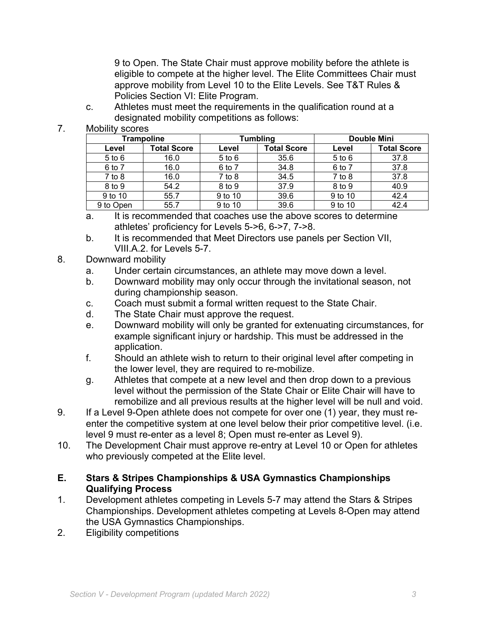9 to Open. The State Chair must approve mobility before the athlete is eligible to compete at the higher level. The Elite Committees Chair must approve mobility from Level 10 to the Elite Levels. See T&T Rules & Policies Section VI: Elite Program.

- c. Athletes must meet the requirements in the qualification round at a designated mobility competitions as follows:
- 7. Mobility scores

| <b>Trampoline</b> |                    | Tumbling   |                    | <b>Double Mini</b> |                    |
|-------------------|--------------------|------------|--------------------|--------------------|--------------------|
| Level             | <b>Total Score</b> | Level      | <b>Total Score</b> | Level              | <b>Total Score</b> |
| $5$ to $6$        | 16.0               | $5$ to $6$ | 35.6               | $5$ to $6$         | 37.8               |
| 6 to 7            | 16.0               | 6 to 7     | 34.8               | 6 to 7             | 37.8               |
| $7$ to $8$        | 16.0               | $7$ to $8$ | 34.5               | $7$ to $8$         | 37.8               |
| 8 to 9            | 54.2               | 8 to 9     | 37.9               | 8 to 9             | 40.9               |
| 9 to 10           | 55.7               | 9 to 10    | 39.6               | 9 to 10            | 42.4               |
| 9 to Open         | 55.7               | 9 to 10    | 39.6               | 9 to 10            | 42.4               |

- a. It is recommended that coaches use the above scores to determine athletes' proficiency for Levels 5->6, 6->7, 7->8.
- b. It is recommended that Meet Directors use panels per Section VII, VIII.A.2. for Levels 5-7.
- 8. Downward mobility
	- a. Under certain circumstances, an athlete may move down a level.
	- b. Downward mobility may only occur through the invitational season, not during championship season.
	- c. Coach must submit a formal written request to the State Chair.
	- d. The State Chair must approve the request.
	- e. Downward mobility will only be granted for extenuating circumstances, for example significant injury or hardship. This must be addressed in the application.
	- f. Should an athlete wish to return to their original level after competing in the lower level, they are required to re-mobilize.
	- g. Athletes that compete at a new level and then drop down to a previous level without the permission of the State Chair or Elite Chair will have to remobilize and all previous results at the higher level will be null and void.
- 9. If a Level 9-Open athlete does not compete for over one (1) year, they must reenter the competitive system at one level below their prior competitive level. (i.e. level 9 must re-enter as a level 8; Open must re-enter as Level 9).
- 10. The Development Chair must approve re-entry at Level 10 or Open for athletes who previously competed at the Elite level.

#### **E. Stars & Stripes Championships & USA Gymnastics Championships Qualifying Process**

- 1. Development athletes competing in Levels 5-7 may attend the Stars & Stripes Championships. Development athletes competing at Levels 8-Open may attend the USA Gymnastics Championships.
- 2. Eligibility competitions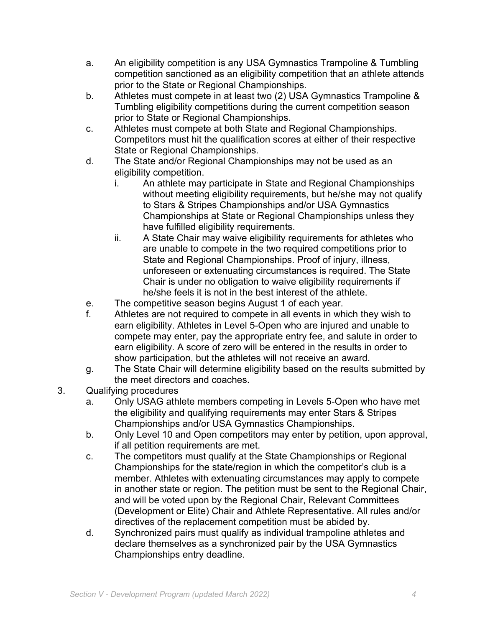- a. An eligibility competition is any USA Gymnastics Trampoline & Tumbling competition sanctioned as an eligibility competition that an athlete attends prior to the State or Regional Championships.
- b. Athletes must compete in at least two (2) USA Gymnastics Trampoline & Tumbling eligibility competitions during the current competition season prior to State or Regional Championships.
- c. Athletes must compete at both State and Regional Championships. Competitors must hit the qualification scores at either of their respective State or Regional Championships.
- d. The State and/or Regional Championships may not be used as an eligibility competition.
	- i. An athlete may participate in State and Regional Championships without meeting eligibility requirements, but he/she may not qualify to Stars & Stripes Championships and/or USA Gymnastics Championships at State or Regional Championships unless they have fulfilled eligibility requirements.
	- ii. A State Chair may waive eligibility requirements for athletes who are unable to compete in the two required competitions prior to State and Regional Championships. Proof of injury, illness, unforeseen or extenuating circumstances is required. The State Chair is under no obligation to waive eligibility requirements if he/she feels it is not in the best interest of the athlete.
- e. The competitive season begins August 1 of each year.
- f. Athletes are not required to compete in all events in which they wish to earn eligibility. Athletes in Level 5-Open who are injured and unable to compete may enter, pay the appropriate entry fee, and salute in order to earn eligibility. A score of zero will be entered in the results in order to show participation, but the athletes will not receive an award.
- g. The State Chair will determine eligibility based on the results submitted by the meet directors and coaches.
- 3. Qualifying procedures
	- a. Only USAG athlete members competing in Levels 5-Open who have met the eligibility and qualifying requirements may enter Stars & Stripes Championships and/or USA Gymnastics Championships.
	- b. Only Level 10 and Open competitors may enter by petition, upon approval, if all petition requirements are met.
	- c. The competitors must qualify at the State Championships or Regional Championships for the state/region in which the competitor's club is a member. Athletes with extenuating circumstances may apply to compete in another state or region. The petition must be sent to the Regional Chair, and will be voted upon by the Regional Chair, Relevant Committees (Development or Elite) Chair and Athlete Representative. All rules and/or directives of the replacement competition must be abided by.
	- d. Synchronized pairs must qualify as individual trampoline athletes and declare themselves as a synchronized pair by the USA Gymnastics Championships entry deadline.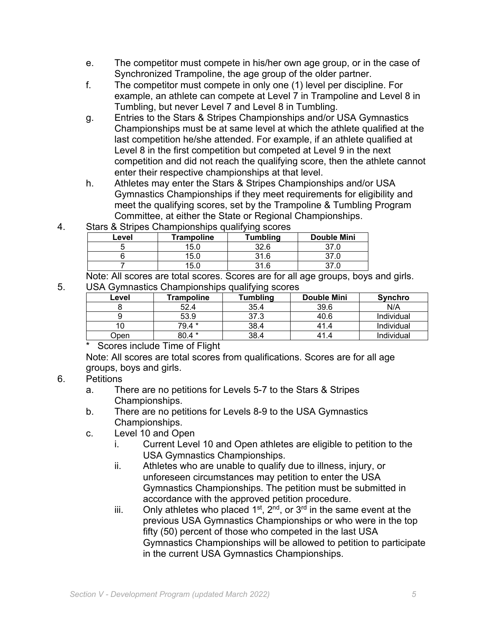- e. The competitor must compete in his/her own age group, or in the case of Synchronized Trampoline, the age group of the older partner.
- f. The competitor must compete in only one (1) level per discipline. For example, an athlete can compete at Level 7 in Trampoline and Level 8 in Tumbling, but never Level 7 and Level 8 in Tumbling.
- g. Entries to the Stars & Stripes Championships and/or USA Gymnastics Championships must be at same level at which the athlete qualified at the last competition he/she attended. For example, if an athlete qualified at Level 8 in the first competition but competed at Level 9 in the next competition and did not reach the qualifying score, then the athlete cannot enter their respective championships at that level.
- h. Athletes may enter the Stars & Stripes Championships and/or USA Gymnastics Championships if they meet requirements for eligibility and meet the qualifying scores, set by the Trampoline & Tumbling Program Committee, at either the State or Regional Championships.
- 4. Stars & Stripes Championships qualifying scores

| Level | <b>Trampoline</b> | <b>Tumbling</b> | <b>Double Mini</b> |
|-------|-------------------|-----------------|--------------------|
|       | 15.0              | 32.6            | ົ                  |
|       | 15.0              | 31.6            | ົ                  |
|       | 15.0              | 31 R            | ົ                  |

Note: All scores are total scores. Scores are for all age groups, boys and girls. 5. USA Gymnastics Championships qualifying scores

| Level | Trampoline | Tumbling | <b>Double Mini</b> | <b>Synchro</b> |
|-------|------------|----------|--------------------|----------------|
|       | 52.4       | 35.4     | 39.6               | N/A            |
|       | 53.9       | 37.3     | 40.6               | Individual     |
| ιU    | 79.4 *     | 38.4     | 41.4               | Individual     |
| ⊃pen  | 30.4 *     | 38.4     | 41.4               | Individual     |

\* Scores include Time of Flight

Note: All scores are total scores from qualifications. Scores are for all age groups, boys and girls.

# 6. Petitions

- a. There are no petitions for Levels 5-7 to the Stars & Stripes Championships.
- b. There are no petitions for Levels 8-9 to the USA Gymnastics Championships.
- c. Level 10 and Open
	- i. Current Level 10 and Open athletes are eligible to petition to the USA Gymnastics Championships.
	- ii. Athletes who are unable to qualify due to illness, injury, or unforeseen circumstances may petition to enter the USA Gymnastics Championships. The petition must be submitted in accordance with the approved petition procedure.
	- iii. Only athletes who placed  $1^{st}$ ,  $2^{nd}$ , or  $3^{rd}$  in the same event at the previous USA Gymnastics Championships or who were in the top fifty (50) percent of those who competed in the last USA Gymnastics Championships will be allowed to petition to participate in the current USA Gymnastics Championships.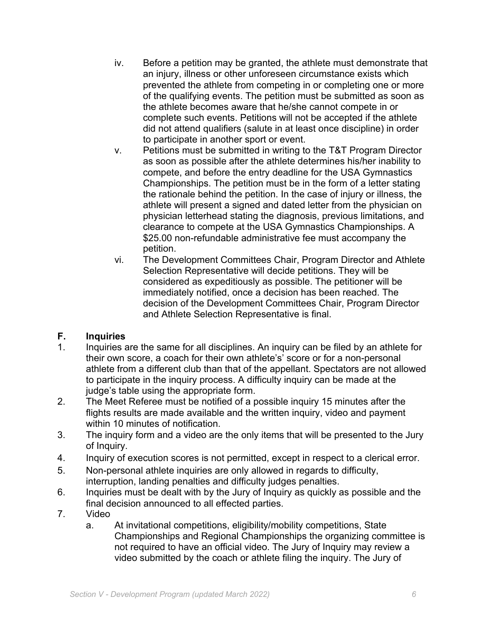- iv. Before a petition may be granted, the athlete must demonstrate that an injury, illness or other unforeseen circumstance exists which prevented the athlete from competing in or completing one or more of the qualifying events. The petition must be submitted as soon as the athlete becomes aware that he/she cannot compete in or complete such events. Petitions will not be accepted if the athlete did not attend qualifiers (salute in at least once discipline) in order to participate in another sport or event.
- v. Petitions must be submitted in writing to the T&T Program Director as soon as possible after the athlete determines his/her inability to compete, and before the entry deadline for the USA Gymnastics Championships. The petition must be in the form of a letter stating the rationale behind the petition. In the case of injury or illness, the athlete will present a signed and dated letter from the physician on physician letterhead stating the diagnosis, previous limitations, and clearance to compete at the USA Gymnastics Championships. A \$25.00 non-refundable administrative fee must accompany the petition.
- vi. The Development Committees Chair, Program Director and Athlete Selection Representative will decide petitions. They will be considered as expeditiously as possible. The petitioner will be immediately notified, once a decision has been reached. The decision of the Development Committees Chair, Program Director and Athlete Selection Representative is final.

# **F. Inquiries**

- 1. Inquiries are the same for all disciplines. An inquiry can be filed by an athlete for their own score, a coach for their own athlete's' score or for a non-personal athlete from a different club than that of the appellant. Spectators are not allowed to participate in the inquiry process. A difficulty inquiry can be made at the judge's table using the appropriate form.
- 2. The Meet Referee must be notified of a possible inquiry 15 minutes after the flights results are made available and the written inquiry, video and payment within 10 minutes of notification.
- 3. The inquiry form and a video are the only items that will be presented to the Jury of Inquiry.
- 4. Inquiry of execution scores is not permitted, except in respect to a clerical error.
- 5. Non-personal athlete inquiries are only allowed in regards to difficulty, interruption, landing penalties and difficulty judges penalties.
- 6. Inquiries must be dealt with by the Jury of Inquiry as quickly as possible and the final decision announced to all effected parties.
- 7. Video
	- a. At invitational competitions, eligibility/mobility competitions, State Championships and Regional Championships the organizing committee is not required to have an official video. The Jury of Inquiry may review a video submitted by the coach or athlete filing the inquiry. The Jury of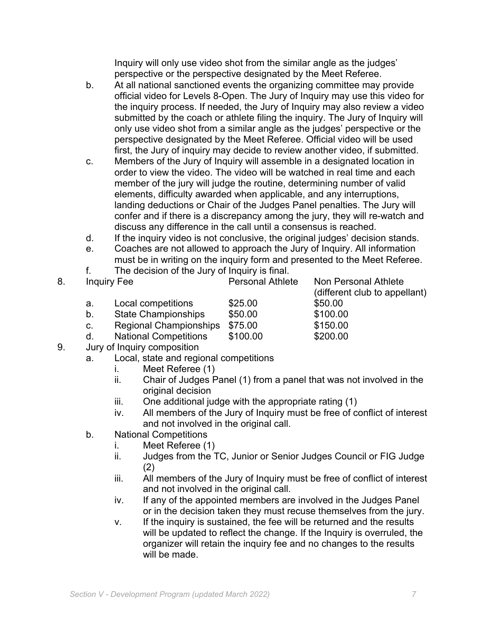Inquiry will only use video shot from the similar angle as the judges' perspective or the perspective designated by the Meet Referee.

- b. At all national sanctioned events the organizing committee may provide official video for Levels 8-Open. The Jury of Inquiry may use this video for the inquiry process. If needed, the Jury of Inquiry may also review a video submitted by the coach or athlete filing the inquiry. The Jury of Inquiry will only use video shot from a similar angle as the judges' perspective or the perspective designated by the Meet Referee. Official video will be used first, the Jury of inquiry may decide to review another video, if submitted.
- c. Members of the Jury of Inquiry will assemble in a designated location in order to view the video. The video will be watched in real time and each member of the jury will judge the routine, determining number of valid elements, difficulty awarded when applicable, and any interruptions, landing deductions or Chair of the Judges Panel penalties. The Jury will confer and if there is a discrepancy among the jury, they will re-watch and discuss any difference in the call until a consensus is reached.
- d. If the inquiry video is not conclusive, the original judges' decision stands.
- e. Coaches are not allowed to approach the Jury of Inquiry. All information must be in writing on the inquiry form and presented to the Meet Referee.
- f. The decision of the Jury of Inquiry is final.

| 8. | <b>Inquiry Fee</b> |                              | <b>Personal Athlete</b> | Non Personal Athlete<br>(different club to appellant) |
|----|--------------------|------------------------------|-------------------------|-------------------------------------------------------|
|    | а.                 | Local competitions           | \$25.00                 | \$50.00                                               |
|    | b.                 | <b>State Championships</b>   | \$50.00                 | \$100.00                                              |
|    | C.                 | Regional Championships       | \$75.00                 | \$150.00                                              |
|    | d.                 | <b>National Competitions</b> | \$100.00                | \$200.00                                              |
|    |                    |                              |                         |                                                       |

- 9. Jury of Inquiry composition
	- a. Local, state and regional competitions
		- i. Meet Referee (1)
		- ii. Chair of Judges Panel (1) from a panel that was not involved in the original decision
		- iii. One additional judge with the appropriate rating (1)
		- iv. All members of the Jury of Inquiry must be free of conflict of interest and not involved in the original call.
	- b. National Competitions
		- i. Meet Referee (1)
		- ii. Judges from the TC, Junior or Senior Judges Council or FIG Judge (2)
		- iii. All members of the Jury of Inquiry must be free of conflict of interest and not involved in the original call.
		- iv. If any of the appointed members are involved in the Judges Panel or in the decision taken they must recuse themselves from the jury.
		- v. If the inquiry is sustained, the fee will be returned and the results will be updated to reflect the change. If the Inquiry is overruled, the organizer will retain the inquiry fee and no changes to the results will be made.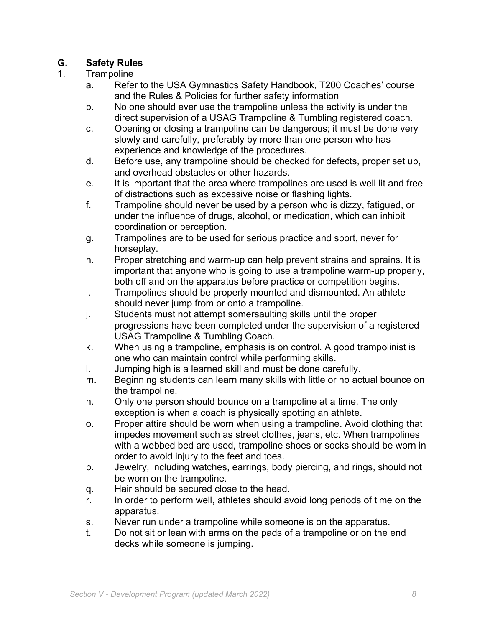### **G. Safety Rules**

#### 1. Trampoline

- a. Refer to the USA Gymnastics Safety Handbook, T200 Coaches' course and the Rules & Policies for further safety information
- b. No one should ever use the trampoline unless the activity is under the direct supervision of a USAG Trampoline & Tumbling registered coach.
- c. Opening or closing a trampoline can be dangerous; it must be done very slowly and carefully, preferably by more than one person who has experience and knowledge of the procedures.
- d. Before use, any trampoline should be checked for defects, proper set up, and overhead obstacles or other hazards.
- e. It is important that the area where trampolines are used is well lit and free of distractions such as excessive noise or flashing lights.
- f. Trampoline should never be used by a person who is dizzy, fatigued, or under the influence of drugs, alcohol, or medication, which can inhibit coordination or perception.
- g. Trampolines are to be used for serious practice and sport, never for horseplay.
- h. Proper stretching and warm-up can help prevent strains and sprains. It is important that anyone who is going to use a trampoline warm-up properly, both off and on the apparatus before practice or competition begins.
- i. Trampolines should be properly mounted and dismounted. An athlete should never jump from or onto a trampoline.
- j. Students must not attempt somersaulting skills until the proper progressions have been completed under the supervision of a registered USAG Trampoline & Tumbling Coach.
- k. When using a trampoline, emphasis is on control. A good trampolinist is one who can maintain control while performing skills.
- l. Jumping high is a learned skill and must be done carefully.
- m. Beginning students can learn many skills with little or no actual bounce on the trampoline.
- n. Only one person should bounce on a trampoline at a time. The only exception is when a coach is physically spotting an athlete.
- o. Proper attire should be worn when using a trampoline. Avoid clothing that impedes movement such as street clothes, jeans, etc. When trampolines with a webbed bed are used, trampoline shoes or socks should be worn in order to avoid injury to the feet and toes.
- p. Jewelry, including watches, earrings, body piercing, and rings, should not be worn on the trampoline.
- q. Hair should be secured close to the head.
- r. In order to perform well, athletes should avoid long periods of time on the apparatus.
- s. Never run under a trampoline while someone is on the apparatus.
- t. Do not sit or lean with arms on the pads of a trampoline or on the end decks while someone is jumping.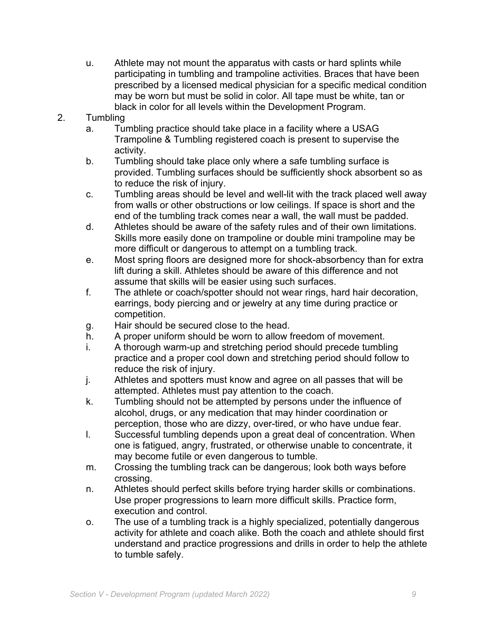- u. Athlete may not mount the apparatus with casts or hard splints while participating in tumbling and trampoline activities. Braces that have been prescribed by a licensed medical physician for a specific medical condition may be worn but must be solid in color. All tape must be white, tan or black in color for all levels within the Development Program.
- 2. Tumbling
	- a. Tumbling practice should take place in a facility where a USAG Trampoline & Tumbling registered coach is present to supervise the activity.
	- b. Tumbling should take place only where a safe tumbling surface is provided. Tumbling surfaces should be sufficiently shock absorbent so as to reduce the risk of injury.
	- c. Tumbling areas should be level and well-lit with the track placed well away from walls or other obstructions or low ceilings. If space is short and the end of the tumbling track comes near a wall, the wall must be padded.
	- d. Athletes should be aware of the safety rules and of their own limitations. Skills more easily done on trampoline or double mini trampoline may be more difficult or dangerous to attempt on a tumbling track.
	- e. Most spring floors are designed more for shock-absorbency than for extra lift during a skill. Athletes should be aware of this difference and not assume that skills will be easier using such surfaces.
	- f. The athlete or coach/spotter should not wear rings, hard hair decoration, earrings, body piercing and or jewelry at any time during practice or competition.
	- g. Hair should be secured close to the head.
	- h. A proper uniform should be worn to allow freedom of movement.
	- i. A thorough warm-up and stretching period should precede tumbling practice and a proper cool down and stretching period should follow to reduce the risk of injury.
	- j. Athletes and spotters must know and agree on all passes that will be attempted. Athletes must pay attention to the coach.
	- k. Tumbling should not be attempted by persons under the influence of alcohol, drugs, or any medication that may hinder coordination or perception, those who are dizzy, over-tired, or who have undue fear.
	- l. Successful tumbling depends upon a great deal of concentration. When one is fatigued, angry, frustrated, or otherwise unable to concentrate, it may become futile or even dangerous to tumble.
	- m. Crossing the tumbling track can be dangerous; look both ways before crossing.
	- n. Athletes should perfect skills before trying harder skills or combinations. Use proper progressions to learn more difficult skills. Practice form, execution and control.
	- o. The use of a tumbling track is a highly specialized, potentially dangerous activity for athlete and coach alike. Both the coach and athlete should first understand and practice progressions and drills in order to help the athlete to tumble safely.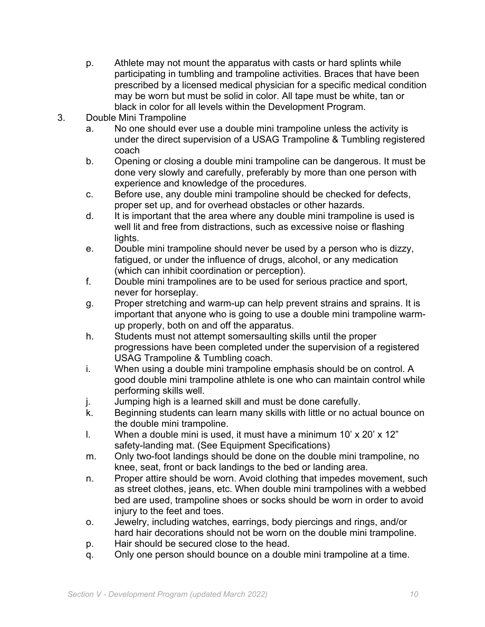- p. Athlete may not mount the apparatus with casts or hard splints while participating in tumbling and trampoline activities. Braces that have been prescribed by a licensed medical physician for a specific medical condition may be worn but must be solid in color. All tape must be white, tan or black in color for all levels within the Development Program.
- 3. Double Mini Trampoline
	- a. No one should ever use a double mini trampoline unless the activity is under the direct supervision of a USAG Trampoline & Tumbling registered coach
	- b. Opening or closing a double mini trampoline can be dangerous. It must be done very slowly and carefully, preferably by more than one person with experience and knowledge of the procedures.
	- c. Before use, any double mini trampoline should be checked for defects, proper set up, and for overhead obstacles or other hazards.
	- d. It is important that the area where any double mini trampoline is used is well lit and free from distractions, such as excessive noise or flashing lights.
	- e. Double mini trampoline should never be used by a person who is dizzy, fatigued, or under the influence of drugs, alcohol, or any medication (which can inhibit coordination or perception).
	- f. Double mini trampolines are to be used for serious practice and sport, never for horseplay.
	- g. Proper stretching and warm-up can help prevent strains and sprains. It is important that anyone who is going to use a double mini trampoline warmup properly, both on and off the apparatus.
	- h. Students must not attempt somersaulting skills until the proper progressions have been completed under the supervision of a registered USAG Trampoline & Tumbling coach.
	- i. When using a double mini trampoline emphasis should be on control. A good double mini trampoline athlete is one who can maintain control while performing skills well.
	- j. Jumping high is a learned skill and must be done carefully.
	- k. Beginning students can learn many skills with little or no actual bounce on the double mini trampoline.
	- I. When a double mini is used, it must have a minimum  $10' \times 20' \times 12''$ safety-landing mat. (See Equipment Specifications)
	- m. Only two-foot landings should be done on the double mini trampoline, no knee, seat, front or back landings to the bed or landing area.
	- n. Proper attire should be worn. Avoid clothing that impedes movement, such as street clothes, jeans, etc. When double mini trampolines with a webbed bed are used, trampoline shoes or socks should be worn in order to avoid injury to the feet and toes.
	- o. Jewelry, including watches, earrings, body piercings and rings, and/or hard hair decorations should not be worn on the double mini trampoline.
	- p. Hair should be secured close to the head.
	- q. Only one person should bounce on a double mini trampoline at a time.